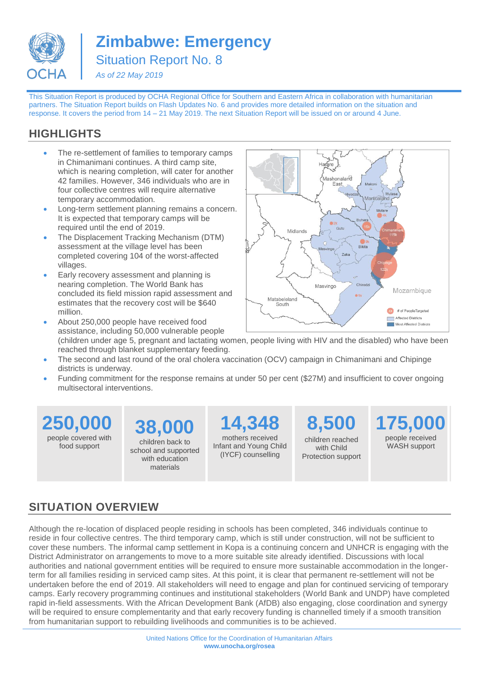

**Zimbabwe: Emergency** Situation Report No. 8

*As of 22 May 2019*

This Situation Report is produced by OCHA Regional Office for Southern and Eastern Africa in collaboration with humanitarian partners. The Situation Report builds on Flash Updates No. 6 and provides more detailed information on the situation and response. It covers the period from 14 – 21 May 2019. The next Situation Report will be issued on or around 4 June.

# **HIGHLIGHTS**

- The re-settlement of families to temporary camps in Chimanimani continues. A third camp site, which is nearing completion, will cater for another 42 families. However, 346 individuals who are in four collective centres will require alternative temporary accommodation.
- Long-term settlement planning remains a concern. It is expected that temporary camps will be required until the end of 2019.
- The Displacement Tracking Mechanism (DTM) assessment at the village level has been completed covering 104 of the worst-affected villages.
- Early recovery assessment and planning is nearing completion. The World Bank has concluded its field mission rapid assessment and estimates that the recovery cost will be \$640 million. • About 250,000 people have received food



- assistance, including 50,000 vulnerable people (children under age 5, pregnant and lactating women, people living with HIV and the disabled) who have been reached through blanket supplementary feeding.
- The second and last round of the oral cholera vaccination (OCV) campaign in Chimanimani and Chipinge districts is underway.
- Funding commitment for the response remains at under 50 per cent (\$27M) and insufficient to cover ongoing multisectoral interventions.

**250,000** people covered with food support

**38,000** children back to school and supported with education

materials

**14,348**  mothers received Infant and Young Child (IYCF) counselling

**8,500** children reached with Child Protection support **175,000** people received WASH support

# **SITUATION OVERVIEW**

Although the re-location of displaced people residing in schools has been completed, 346 individuals continue to reside in four collective centres. The third temporary camp, which is still under construction, will not be sufficient to cover these numbers. The informal camp settlement in Kopa is a continuing concern and UNHCR is engaging with the District Administrator on arrangements to move to a more suitable site already identified. Discussions with local authorities and national government entities will be required to ensure more sustainable accommodation in the longerterm for all families residing in serviced camp sites. At this point, it is clear that permanent re-settlement will not be undertaken before the end of 2019. All stakeholders will need to engage and plan for continued servicing of temporary camps. Early recovery programming continues and institutional stakeholders (World Bank and UNDP) have completed rapid in-field assessments. With the African Development Bank (AfDB) also engaging, close coordination and synergy will be required to ensure complementarity and that early recovery funding is channelled timely if a smooth transition from humanitarian support to rebuilding livelihoods and communities is to be achieved.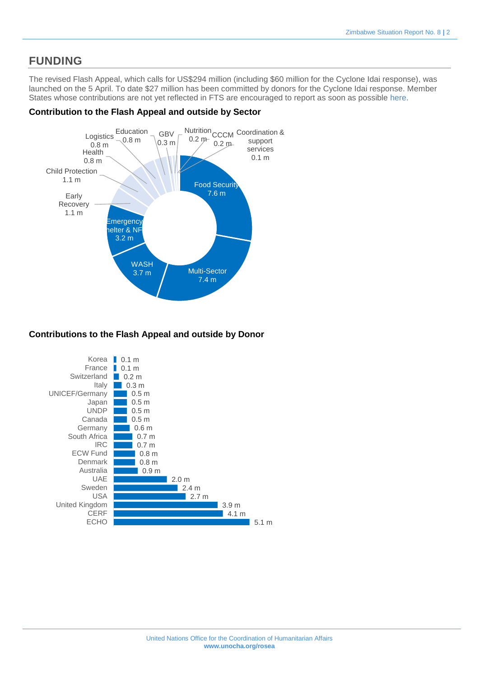### **FUNDING**

The revised Flash Appeal, which calls for US\$294 million (including \$60 million for the Cyclone Idai response), was launched on the 5 April. To date \$27 million has been committed by donors for the Cyclone Idai response. Member States whose contributions are not yet reflected in FTS are encouraged to report as soon as possible [here.](https://fts.unocha.org/content/report-contribution)

### **Contribution to the Flash Appeal and outside by Sector**



### **Contributions to the Flash Appeal and outside by Donor**

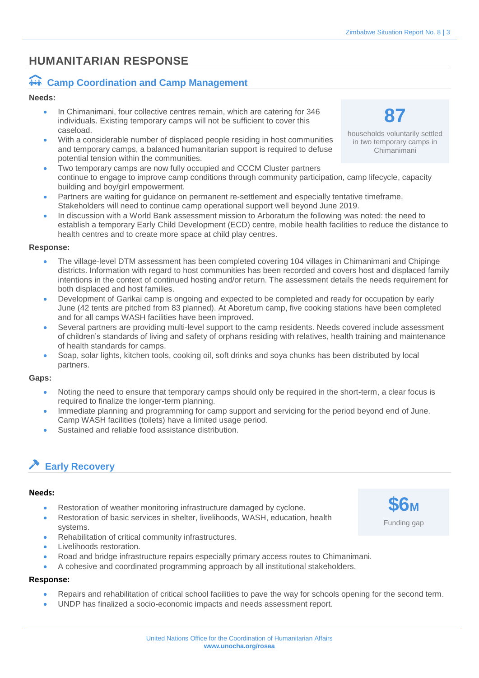## **HUMANITARIAN RESPONSE**

### *i***ti Camp Coordination and Camp Management**

#### **Needs:**

- In Chimanimani, four collective centres remain, which are catering for 346 individuals. Existing temporary camps will not be sufficient to cover this caseload.
- With a considerable number of displaced people residing in host communities and temporary camps, a balanced humanitarian support is required to defuse potential tension within the communities.
- Two temporary camps are now fully occupied and CCCM Cluster partners continue to engage to improve camp conditions through community participation, camp lifecycle, capacity building and boy/girl empowerment.
- Partners are waiting for guidance on permanent re-settlement and especially tentative timeframe. Stakeholders will need to continue camp operational support well beyond June 2019.
- In discussion with a World Bank assessment mission to Arboratum the following was noted: the need to establish a temporary Early Child Development (ECD) centre, mobile health facilities to reduce the distance to health centres and to create more space at child play centres.

#### **Response:**

- The village-level DTM assessment has been completed covering 104 villages in Chimanimani and Chipinge districts. Information with regard to host communities has been recorded and covers host and displaced family intentions in the context of continued hosting and/or return. The assessment details the needs requirement for both displaced and host families.
- Development of Garikai camp is ongoing and expected to be completed and ready for occupation by early June (42 tents are pitched from 83 planned). At Aboretum camp, five cooking stations have been completed and for all camps WASH facilities have been improved.
- Several partners are providing multi-level support to the camp residents. Needs covered include assessment of children's standards of living and safety of orphans residing with relatives, health training and maintenance of health standards for camps.
- Soap, solar lights, kitchen tools, cooking oil, soft drinks and soya chunks has been distributed by local partners.

#### **Gaps:**

- Noting the need to ensure that temporary camps should only be required in the short-term, a clear focus is required to finalize the longer-term planning.
- Immediate planning and programming for camp support and servicing for the period beyond end of June. Camp WASH facilities (toilets) have a limited usage period.
- Sustained and reliable food assistance distribution.

# **Early Recovery**

#### **Needs:**

- Restoration of weather monitoring infrastructure damaged by cyclone.
- Restoration of basic services in shelter, livelihoods, WASH, education, health systems.
- Rehabilitation of critical community infrastructures.
- Livelihoods restoration.
- Road and bridge infrastructure repairs especially primary access routes to Chimanimani.
- A cohesive and coordinated programming approach by all institutional stakeholders.

### **Response:**

- Repairs and rehabilitation of critical school facilities to pave the way for schools opening for the second term.
- UNDP has finalized a socio-economic impacts and needs assessment report.





households voluntarily settled in two temporary camps in Chimanimani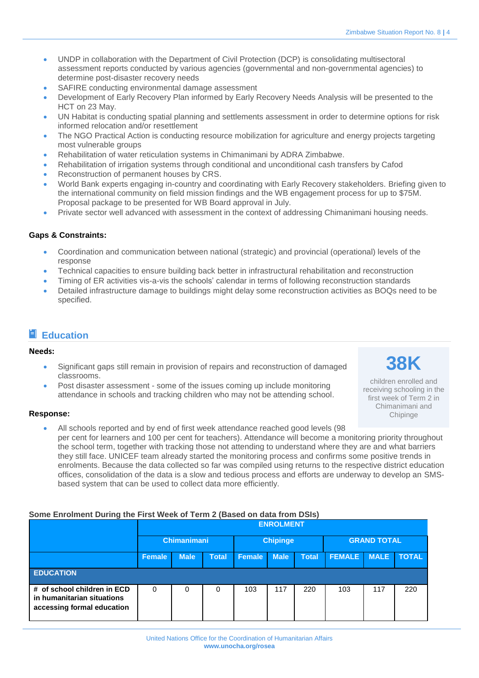- UNDP in collaboration with the Department of Civil Protection (DCP) is consolidating multisectoral assessment reports conducted by various agencies (governmental and non-governmental agencies) to determine post-disaster recovery needs
- SAFIRE conducting environmental damage assessment
- Development of Early Recovery Plan informed by Early Recovery Needs Analysis will be presented to the HCT on 23 May.
- UN Habitat is conducting spatial planning and settlements assessment in order to determine options for risk informed relocation and/or resettlement
- The NGO Practical Action is conducting resource mobilization for agriculture and energy projects targeting most vulnerable groups
- Rehabilitation of water reticulation systems in Chimanimani by ADRA Zimbabwe.
- Rehabilitation of irrigation systems through conditional and unconditional cash transfers by Cafod
- Reconstruction of permanent houses by CRS.
- World Bank experts engaging in-country and coordinating with Early Recovery stakeholders. Briefing given to the international community on field mission findings and the WB engagement process for up to \$75M. Proposal package to be presented for WB Board approval in July.
- Private sector well advanced with assessment in the context of addressing Chimanimani housing needs.

- Coordination and communication between national (strategic) and provincial (operational) levels of the response
- Technical capacities to ensure building back better in infrastructural rehabilitation and reconstruction
- Timing of ER activities vis-a-vis the schools' calendar in terms of following reconstruction standards
- Detailed infrastructure damage to buildings might delay some reconstruction activities as BOQs need to be specified.

### **Education**

#### **Needs:**

- Significant gaps still remain in provision of repairs and reconstruction of damaged classrooms.
- Post disaster assessment some of the issues coming up include monitoring attendance in schools and tracking children who may not be attending school.

**38K** children enrolled and receiving schooling in the first week of Term 2 in

> Chimanimani and Chipinge

### **Response:**

• All schools reported and by end of first week attendance reached good levels (98 per cent for learners and 100 per cent for teachers). Attendance will become a monitoring priority throughout the school term, together with tracking those not attending to understand where they are and what barriers they still face. UNICEF team already started the monitoring process and confirms some positive trends in enrolments. Because the data collected so far was compiled using returns to the respective district education offices, consolidation of the data is a slow and tedious process and efforts are underway to develop an SMSbased system that can be used to collect data more efficiently.

### **Some Enrolment During the First Week of Term 2 (Based on data from DSIs)**

|                                                                                         |                    | <b>ENROLMENT</b> |              |                 |             |              |                    |             |              |
|-----------------------------------------------------------------------------------------|--------------------|------------------|--------------|-----------------|-------------|--------------|--------------------|-------------|--------------|
|                                                                                         | <b>Chimanimani</b> |                  |              | <b>Chipinge</b> |             |              | <b>GRAND TOTAL</b> |             |              |
|                                                                                         | <b>Female</b>      | <b>Male</b>      | <b>Total</b> | Female          | <b>Male</b> | <b>Total</b> | <b>FEMALE</b>      | <b>MALE</b> | <b>TOTAL</b> |
| <b>EDUCATION</b>                                                                        |                    |                  |              |                 |             |              |                    |             |              |
| # of school children in ECD<br>in humanitarian situations<br>accessing formal education | 0                  | 0                | 0            | 103             | 117         | 220          | 103                | 117         | 220          |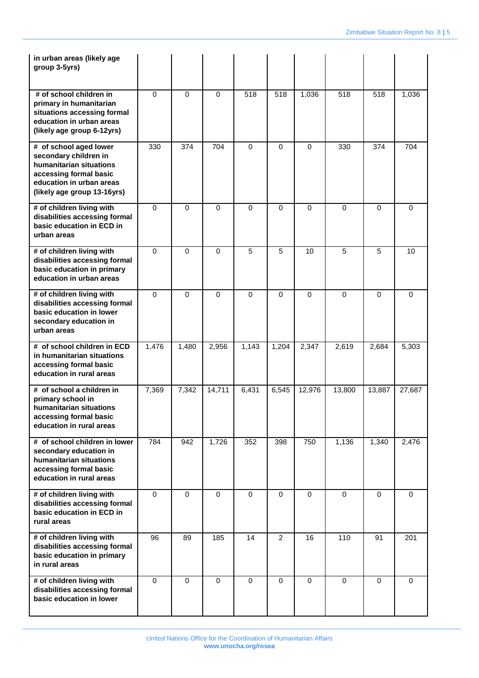| in urban areas (likely age<br>group 3-5yrs)                                                                                                                     |             |          |             |          |                |             |             |             |          |
|-----------------------------------------------------------------------------------------------------------------------------------------------------------------|-------------|----------|-------------|----------|----------------|-------------|-------------|-------------|----------|
| # of school children in<br>primary in humanitarian<br>situations accessing formal<br>education in urban areas<br>(likely age group 6-12yrs)                     | $\Omega$    | $\Omega$ | $\Omega$    | 518      | 518            | 1,036       | 518         | 518         | 1,036    |
| # of school aged lower<br>secondary children in<br>humanitarian situations<br>accessing formal basic<br>education in urban areas<br>(likely age group 13-16yrs) | 330         | 374      | 704         | $\Omega$ | $\Omega$       | $\Omega$    | 330         | 374         | 704      |
| # of children living with<br>disabilities accessing formal<br>basic education in ECD in<br>urban areas                                                          | $\Omega$    | $\Omega$ | $\Omega$    | $\Omega$ | $\Omega$       | $\mathbf 0$ | $\Omega$    | $\Omega$    | 0        |
| # of children living with<br>disabilities accessing formal<br>basic education in primary<br>education in urban areas                                            | $\Omega$    | $\Omega$ | $\Omega$    | 5        | 5              | 10          | 5           | 5           | 10       |
| # of children living with<br>disabilities accessing formal<br>basic education in lower<br>secondary education in<br>urban areas                                 | $\Omega$    | $\Omega$ | $\Omega$    | $\Omega$ | 0              | $\mathbf 0$ | $\Omega$    | $\Omega$    | $\Omega$ |
| # of school children in ECD<br>in humanitarian situations<br>accessing formal basic<br>education in rural areas                                                 | 1,476       | 1,480    | 2,956       | 1,143    | 1,204          | 2,347       | 2,619       | 2,684       | 5,303    |
| # of school a children in<br>primary school in<br>humanitarian situations<br>accessing formal basic<br>education in rural areas                                 | 7,369       | 7,342    | 14,711      | 6,431    | 6,545          | 12,976      | 13,800      | 13,887      | 27,687   |
| # of school children in lower<br>secondary education in<br>humanitarian situations<br>accessing formal basic<br>education in rural areas                        | 784         | 942      | 1,726       | 352      | 398            | 750         | 1,136       | 1,340       | 2,476    |
| # of children living with<br>disabilities accessing formal<br>basic education in ECD in<br>rural areas                                                          | $\Omega$    | $\Omega$ | $\Omega$    | $\Omega$ | $\Omega$       | $\Omega$    | $\Omega$    | $\Omega$    | $\Omega$ |
| # of children living with<br>disabilities accessing formal<br>basic education in primary<br>in rural areas                                                      | 96          | 89       | 185         | 14       | $\overline{2}$ | 16          | 110         | 91          | 201      |
| # of children living with<br>disabilities accessing formal<br>basic education in lower                                                                          | $\mathbf 0$ | $\Omega$ | $\mathbf 0$ | $\Omega$ | $\Omega$       | $\mathbf 0$ | $\mathbf 0$ | $\mathbf 0$ | $\Omega$ |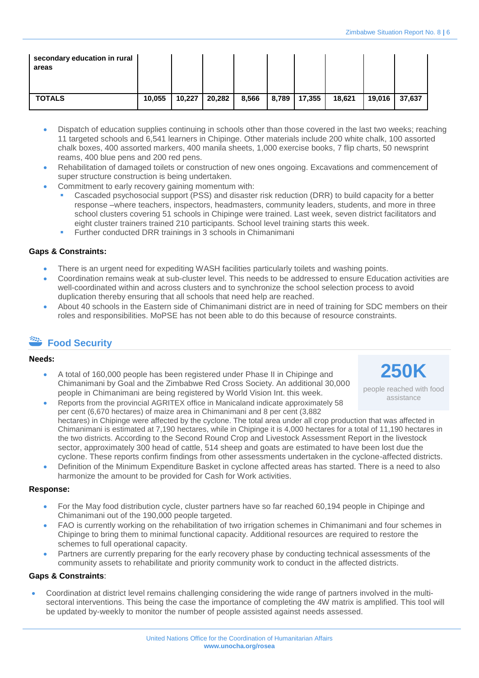| secondary education in rural<br>areas |        |        |        |       |                |        |        |        |
|---------------------------------------|--------|--------|--------|-------|----------------|--------|--------|--------|
| <b>TOTALS</b>                         | 10,055 | 10,227 | 20,282 | 8,566 | 8,789   17,355 | 18,621 | 19,016 | 37,637 |

- Dispatch of education supplies continuing in schools other than those covered in the last two weeks; reaching 11 targeted schools and 6,541 learners in Chipinge. Other materials include 200 white chalk, 100 assorted chalk boxes, 400 assorted markers, 400 manila sheets, 1,000 exercise books, 7 flip charts, 50 newsprint reams, 400 blue pens and 200 red pens.
- Rehabilitation of damaged toilets or construction of new ones ongoing. Excavations and commencement of super structure construction is being undertaken.
- Commitment to early recovery gaining momentum with:
	- Cascaded psychosocial support (PSS) and disaster risk reduction (DRR) to build capacity for a better response –where teachers, inspectors, headmasters, community leaders, students, and more in three school clusters covering 51 schools in Chipinge were trained. Last week, seven district facilitators and eight cluster trainers trained 210 participants. School level training starts this week.
	- Further conducted DRR trainings in 3 schools in Chimanimani

- There is an urgent need for expediting WASH facilities particularly toilets and washing points.
- Coordination remains weak at sub-cluster level. This needs to be addressed to ensure Education activities are well-coordinated within and across clusters and to synchronize the school selection process to avoid duplication thereby ensuring that all schools that need help are reached.
- About 40 schools in the Eastern side of Chimanimani district are in need of training for SDC members on their roles and responsibilities. MoPSE has not been able to do this because of resource constraints.

# **Food Security**

#### **Needs:**

- A total of 160,000 people has been registered under Phase II in Chipinge and Chimanimani by Goal and the Zimbabwe Red Cross Society. An additional 30,000 people in Chimanimani are being registered by World Vision Int. this week.
- Reports from the provincial AGRITEX office in Manicaland indicate approximately 58 per cent (6,670 hectares) of maize area in Chimanimani and 8 per cent (3,882 hectares) in Chipinge were affected by the cyclone. The total area under all crop production that was affected in Chimanimani is estimated at 7,190 hectares, while in Chipinge it is 4,000 hectares for a total of 11,190 hectares in the two districts. According to the Second Round Crop and Livestock Assessment Report in the livestock sector, approximately 300 head of cattle, 514 sheep and goats are estimated to have been lost due the
- cyclone. These reports confirm findings from other assessments undertaken in the cyclone-affected districts. • Definition of the Minimum Expenditure Basket in cyclone affected areas has started. There is a need to also harmonize the amount to be provided for Cash for Work activities.

#### **Response:**

- For the May food distribution cycle, cluster partners have so far reached 60,194 people in Chipinge and Chimanimani out of the 190,000 people targeted.
- FAO is currently working on the rehabilitation of two irrigation schemes in Chimanimani and four schemes in Chipinge to bring them to minimal functional capacity. Additional resources are required to restore the schemes to full operational capacity.
- Partners are currently preparing for the early recovery phase by conducting technical assessments of the community assets to rehabilitate and priority community work to conduct in the affected districts.

#### **Gaps & Constraints**:

• Coordination at district level remains challenging considering the wide range of partners involved in the multisectoral interventions. This being the case the importance of completing the 4W matrix is amplified. This tool will be updated by-weekly to monitor the number of people assisted against needs assessed.

**250K**

people reached with food assistance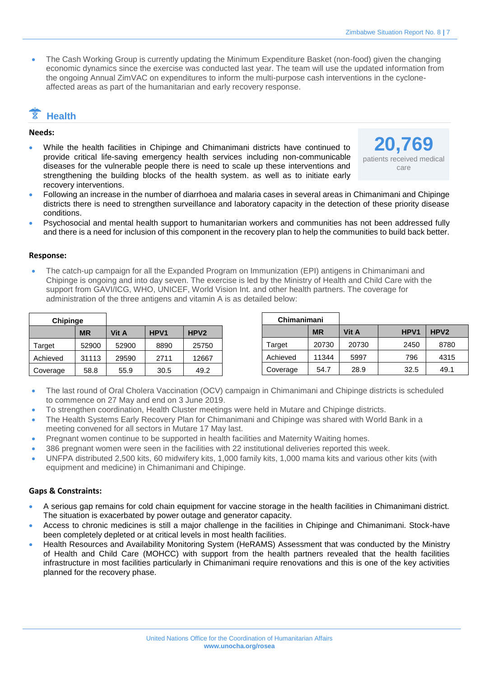• The Cash Working Group is currently updating the Minimum Expenditure Basket (non-food) given the changing economic dynamics since the exercise was conducted last year. The team will use the updated information from the ongoing Annual ZimVAC on expenditures to inform the multi-purpose cash interventions in the cycloneaffected areas as part of the humanitarian and early recovery response.

# **Health**

#### **Needs:**

• While the health facilities in Chipinge and Chimanimani districts have continued to provide critical life-saving emergency health services including non-communicable diseases for the vulnerable people there is need to scale up these interventions and strengthening the building blocks of the health system. as well as to initiate early recovery interventions.



- Following an increase in the number of diarrhoea and malaria cases in several areas in Chimanimani and Chipinge districts there is need to strengthen surveillance and laboratory capacity in the detection of these priority disease conditions.
- Psychosocial and mental health support to humanitarian workers and communities has not been addressed fully and there is a need for inclusion of this component in the recovery plan to help the communities to build back better.

#### **Response:**

• The catch-up campaign for all the Expanded Program on Immunization (EPI) antigens in Chimanimani and Chipinge is ongoing and into day seven. The exercise is led by the Ministry of Health and Child Care with the support from GAVI/ICG, WHO, UNICEF, World Vision Int. and other health partners. The coverage for administration of the three antigens and vitamin A is as detailed below:

| Chipinge |           |       |      |                  |
|----------|-----------|-------|------|------------------|
|          | <b>MR</b> | Vit A | HPV1 | HPV <sub>2</sub> |
| Target   | 52900     | 52900 | 8890 | 25750            |
| Achieved | 31113     | 29590 | 2711 | 12667            |
| Coverage | 58.8      | 55.9  | 30.5 | 49.2             |

| Chimanimani |           |       |                  |                  |
|-------------|-----------|-------|------------------|------------------|
|             | <b>MR</b> | Vit A | HPV <sub>1</sub> | HPV <sub>2</sub> |
| Target      | 20730     | 20730 | 2450             | 8780             |
| Achieved    | 11344     | 5997  | 796              | 4315             |
| Coverage    | 54.7      | 28.9  | 32.5             | 49.1             |

- The last round of Oral Cholera Vaccination (OCV) campaign in Chimanimani and Chipinge districts is scheduled to commence on 27 May and end on 3 June 2019.
- To strengthen coordination, Health Cluster meetings were held in Mutare and Chipinge districts.
- The Health Systems Early Recovery Plan for Chimanimani and Chipinge was shared with World Bank in a meeting convened for all sectors in Mutare 17 May last.
- Pregnant women continue to be supported in health facilities and Maternity Waiting homes.
- 386 pregnant women were seen in the facilities with 22 institutional deliveries reported this week.
- UNFPA distributed 2,500 kits, 60 midwifery kits, 1,000 family kits, 1,000 mama kits and various other kits (with equipment and medicine) in Chimanimani and Chipinge.

#### **Gaps & Constraints:**

- A serious gap remains for cold chain equipment for vaccine storage in the health facilities in Chimanimani district. The situation is exacerbated by power outage and generator capacity.
- Access to chronic medicines is still a major challenge in the facilities in Chipinge and Chimanimani. Stock-have been completely depleted or at critical levels in most health facilities.
- Health Resources and Availability Monitoring System (HeRAMS) Assessment that was conducted by the Ministry of Health and Child Care (MOHCC) with support from the health partners revealed that the health facilities infrastructure in most facilities particularly in Chimanimani require renovations and this is one of the key activities planned for the recovery phase.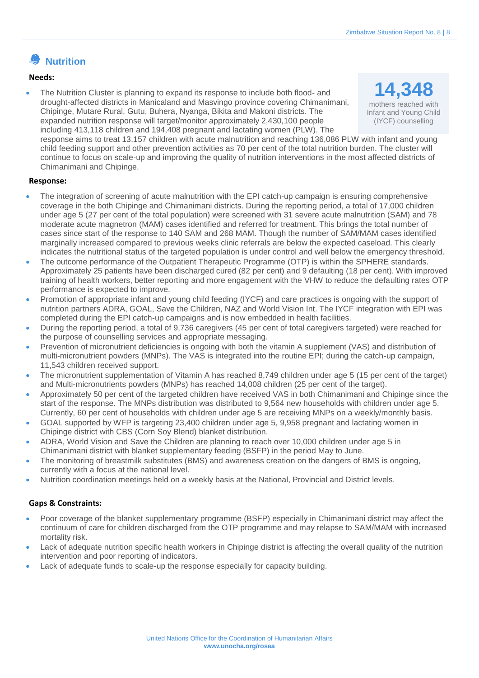## **Nutrition**

#### **Needs:**

• The Nutrition Cluster is planning to expand its response to include both flood- and drought-affected districts in Manicaland and Masvingo province covering Chimanimani, Chipinge, Mutare Rural, Gutu, Buhera, Nyanga, Bikita and Makoni districts. The expanded nutrition response will target/monitor approximately 2,430,100 people including 413,118 children and 194,408 pregnant and lactating women (PLW). The response aims to treat 13,157 children with acute malnutrition and reaching 136,086 PLW with infant and young child feeding support and other prevention activities as 70 per cent of the total nutrition burden. The cluster will continue to focus on scale-up and improving the quality of nutrition interventions in the most affected districts of Chimanimani and Chipinge. **14,348**  mothers reached with Infant and Young Child (IYCF) counselling

#### **Response:**

- The integration of screening of acute malnutrition with the EPI catch-up campaign is ensuring comprehensive coverage in the both Chipinge and Chimanimani districts. During the reporting period, a total of 17,000 children under age 5 (27 per cent of the total population) were screened with 31 severe acute malnutrition (SAM) and 78 moderate acute magnetron (MAM) cases identified and referred for treatment. This brings the total number of cases since start of the response to 140 SAM and 268 MAM. Though the number of SAM/MAM cases identified marginally increased compared to previous weeks clinic referrals are below the expected caseload. This clearly indicates the nutritional status of the targeted population is under control and well below the emergency threshold.
- The outcome performance of the Outpatient Therapeutic Programme (OTP) is within the SPHERE standards. Approximately 25 patients have been discharged cured (82 per cent) and 9 defaulting (18 per cent). With improved training of health workers, better reporting and more engagement with the VHW to reduce the defaulting rates OTP performance is expected to improve.
- Promotion of appropriate infant and young child feeding (IYCF) and care practices is ongoing with the support of nutrition partners ADRA, GOAL, Save the Children, NAZ and World Vision Int. The IYCF integration with EPI was completed during the EPI catch-up campaigns and is now embedded in health facilities.
- During the reporting period, a total of 9,736 caregivers (45 per cent of total caregivers targeted) were reached for the purpose of counselling services and appropriate messaging.
- Prevention of micronutrient deficiencies is ongoing with both the vitamin A supplement (VAS) and distribution of multi-micronutrient powders (MNPs). The VAS is integrated into the routine EPI; during the catch-up campaign, 11,543 children received support.
- The micronutrient supplementation of Vitamin A has reached 8,749 children under age 5 (15 per cent of the target) and Multi-micronutrients powders (MNPs) has reached 14,008 children (25 per cent of the target).
- Approximately 50 per cent of the targeted children have received VAS in both Chimanimani and Chipinge since the start of the response. The MNPs distribution was distributed to 9,564 new households with children under age 5. Currently, 60 per cent of households with children under age 5 are receiving MNPs on a weekly/monthly basis.
- GOAL supported by WFP is targeting 23,400 children under age 5, 9,958 pregnant and lactating women in Chipinge district with CBS (Corn Soy Blend) blanket distribution.
- ADRA, World Vision and Save the Children are planning to reach over 10,000 children under age 5 in Chimanimani district with blanket supplementary feeding (BSFP) in the period May to June.
- The monitoring of breastmilk substitutes (BMS) and awareness creation on the dangers of BMS is ongoing, currently with a focus at the national level.
- Nutrition coordination meetings held on a weekly basis at the National, Provincial and District levels.

#### **Gaps & Constraints:**

- Poor coverage of the blanket supplementary programme (BSFP) especially in Chimanimani district may affect the continuum of care for children discharged from the OTP programme and may relapse to SAM/MAM with increased mortality risk.
- Lack of adequate nutrition specific health workers in Chipinge district is affecting the overall quality of the nutrition intervention and poor reporting of indicators.
- Lack of adequate funds to scale-up the response especially for capacity building.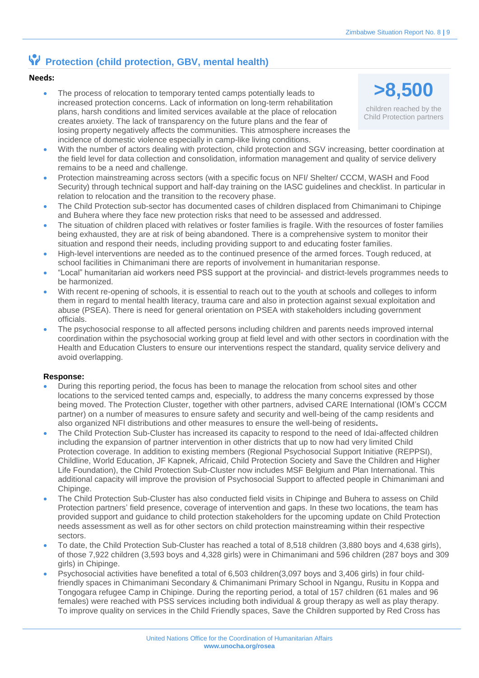## **Protection (child protection, GBV, mental health)**

### **Needs:**

- The process of relocation to temporary tented camps potentially leads to increased protection concerns. Lack of information on long-term rehabilitation plans, harsh conditions and limited services available at the place of relocation creates anxiety. The lack of transparency on the future plans and the fear of losing property negatively affects the communities. This atmosphere increases the incidence of domestic violence especially in camp-like living conditions.
- With the number of actors dealing with protection, child protection and SGV increasing, better coordination at the field level for data collection and consolidation, information management and quality of service delivery remains to be a need and challenge.
- Protection mainstreaming across sectors (with a specific focus on NFI/ Shelter/ CCCM, WASH and Food Security) through technical support and half-day training on the IASC guidelines and checklist. In particular in relation to relocation and the transition to the recovery phase.
- The Child Protection sub-sector has documented cases of children displaced from Chimanimani to Chipinge and Buhera where they face new protection risks that need to be assessed and addressed.
- The situation of children placed with relatives or foster families is fragile. With the resources of foster families being exhausted, they are at risk of being abandoned. There is a comprehensive system to monitor their situation and respond their needs, including providing support to and educating foster families.
- High-level interventions are needed as to the continued presence of the armed forces. Tough reduced, at school facilities in Chimanimani there are reports of involvement in humanitarian response.
- "Local" humanitarian aid workers need PSS support at the provincial- and district-levels programmes needs to be harmonized.
- With recent re-opening of schools, it is essential to reach out to the youth at schools and colleges to inform them in regard to mental health literacy, trauma care and also in protection against sexual exploitation and abuse (PSEA). There is need for general orientation on PSEA with stakeholders including government officials.
- The psychosocial response to all affected persons including children and parents needs improved internal coordination within the psychosocial working group at field level and with other sectors in coordination with the Health and Education Clusters to ensure our interventions respect the standard, quality service delivery and avoid overlapping.

#### **Response:**

- During this reporting period, the focus has been to manage the relocation from school sites and other locations to the serviced tented camps and, especially, to address the many concerns expressed by those being moved. The Protection Cluster, together with other partners, advised CARE International (IOM's CCCM partner) on a number of measures to ensure safety and security and well-being of the camp residents and also organized NFI distributions and other measures to ensure the well-being of residents**.**
- The Child Protection Sub-Cluster has increased its capacity to respond to the need of Idai-affected children including the expansion of partner intervention in other districts that up to now had very limited Child Protection coverage. In addition to existing members (Regional Psychosocial Support Initiative (REPPSI), Childline, World Education, JF Kapnek, Africaid, Child Protection Society and Save the Children and Higher Life Foundation), the Child Protection Sub-Cluster now includes MSF Belgium and Plan International. This additional capacity will improve the provision of Psychosocial Support to affected people in Chimanimani and Chipinge.
- The Child Protection Sub-Cluster has also conducted field visits in Chipinge and Buhera to assess on Child Protection partners' field presence, coverage of intervention and gaps. In these two locations, the team has provided support and guidance to child protection stakeholders for the upcoming update on Child Protection needs assessment as well as for other sectors on child protection mainstreaming within their respective sectors.
- To date, the Child Protection Sub-Cluster has reached a total of 8,518 children (3,880 boys and 4,638 girls), of those 7,922 children (3,593 boys and 4,328 girls) were in Chimanimani and 596 children (287 boys and 309 girls) in Chipinge.
- Psychosocial activities have benefited a total of 6,503 children(3,097 boys and 3,406 girls) in four childfriendly spaces in Chimanimani Secondary & Chimanimani Primary School in Ngangu, Rusitu in Koppa and Tongogara refugee Camp in Chipinge. During the reporting period, a total of 157 children (61 males and 96 females) were reached with PSS services including both individual & group therapy as well as play therapy. To improve quality on services in the Child Friendly spaces, Save the Children supported by Red Cross has

**>8,500** 

children reached by the Child Protection partners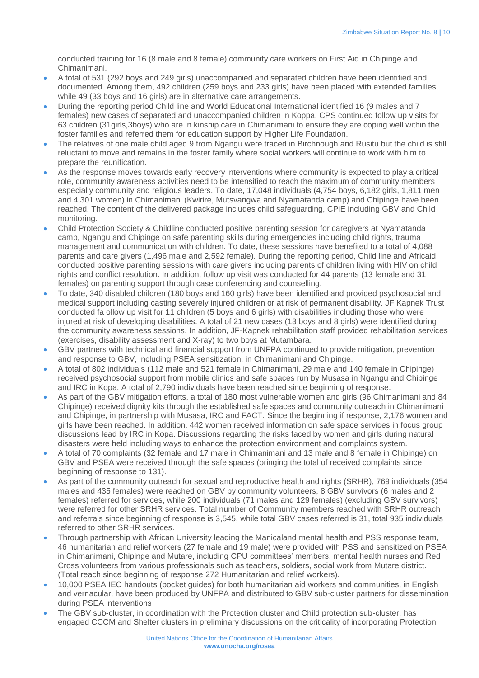conducted training for 16 (8 male and 8 female) community care workers on First Aid in Chipinge and Chimanimani.

- A total of 531 (292 boys and 249 girls) unaccompanied and separated children have been identified and documented. Among them, 492 children (259 boys and 233 girls) have been placed with extended families while 49 (33 boys and 16 girls) are in alternative care arrangements.
- During the reporting period Child line and World Educational International identified 16 (9 males and 7 females) new cases of separated and unaccompanied children in Koppa. CPS continued follow up visits for 63 children (31girls,3boys) who are in kinship care in Chimanimani to ensure they are coping well within the foster families and referred them for education support by Higher Life Foundation.
- The relatives of one male child aged 9 from Ngangu were traced in Birchnough and Rusitu but the child is still reluctant to move and remains in the foster family where social workers will continue to work with him to prepare the reunification.
- As the response moves towards early recovery interventions where community is expected to play a critical role, community awareness activities need to be intensified to reach the maximum of community members especially community and religious leaders. To date, 17,048 individuals (4,754 boys, 6,182 girls, 1,811 men and 4,301 women) in Chimanimani (Kwirire, Mutsvangwa and Nyamatanda camp) and Chipinge have been reached. The content of the delivered package includes child safeguarding, CPiE including GBV and Child monitoring.
- Child Protection Society & Childline conducted positive parenting session for caregivers at Nyamatanda camp, Ngangu and Chipinge on safe parenting skills during emergencies including child rights, trauma management and communication with children. To date, these sessions have benefited to a total of 4,088 parents and care givers (1,496 male and 2,592 female). During the reporting period, Child line and Africaid conducted positive parenting sessions with care givers including parents of children living with HIV on child rights and conflict resolution. In addition, follow up visit was conducted for 44 parents (13 female and 31 females) on parenting support through case conferencing and counselling.
- To date, 340 disabled children (180 boys and 160 girls) have been identified and provided psychosocial and medical support including casting severely injured children or at risk of permanent disability. JF Kapnek Trust conducted fa ollow up visit for 11 children (5 boys and 6 girls) with disabilities including those who were injured at risk of developing disabilities. A total of 21 new cases (13 boys and 8 girls) were identified during the community awareness sessions. In addition, JF-Kapnek rehabilitation staff provided rehabilitation services (exercises, disability assessment and X-ray) to two boys at Mutambara.
- GBV partners with technical and financial support from UNFPA continued to provide mitigation, prevention and response to GBV, including PSEA sensitization, in Chimanimani and Chipinge.
- A total of 802 individuals (112 male and 521 female in Chimanimani, 29 male and 140 female in Chipinge) received psychosocial support from mobile clinics and safe spaces run by Musasa in Ngangu and Chipinge and IRC in Kopa. A total of 2,790 individuals have been reached since beginning of response.
- As part of the GBV mitigation efforts, a total of 180 most vulnerable women and girls (96 Chimanimani and 84 Chipinge) received dignity kits through the established safe spaces and community outreach in Chimanimani and Chipinge, in partnership with Musasa, IRC and FACT. Since the beginning if response, 2,176 women and girls have been reached. In addition, 442 women received information on safe space services in focus group discussions lead by IRC in Kopa. Discussions regarding the risks faced by women and girls during natural disasters were held including ways to enhance the protection environment and complaints system.
- A total of 70 complaints (32 female and 17 male in Chimanimani and 13 male and 8 female in Chipinge) on GBV and PSEA were received through the safe spaces (bringing the total of received complaints since beginning of response to 131).
- As part of the community outreach for sexual and reproductive health and rights (SRHR), 769 individuals (354 males and 435 females) were reached on GBV by community volunteers, 8 GBV survivors (6 males and 2 females) referred for services, while 200 individuals (71 males and 129 females) (excluding GBV survivors) were referred for other SRHR services. Total number of Community members reached with SRHR outreach and referrals since beginning of response is 3,545, while total GBV cases referred is 31, total 935 individuals referred to other SRHR services.
- Through partnership with African University leading the Manicaland mental health and PSS response team, 46 humanitarian and relief workers (27 female and 19 male) were provided with PSS and sensitized on PSEA in Chimanimani, Chipinge and Mutare, including CPU committees' members, mental health nurses and Red Cross volunteers from various professionals such as teachers, soldiers, social work from Mutare district. (Total reach since beginning of response 272 Humanitarian and relief workers).
- 10,000 PSEA IEC handouts (pocket guides) for both humanitarian aid workers and communities, in English and vernacular, have been produced by UNFPA and distributed to GBV sub-cluster partners for dissemination during PSEA interventions
- The GBV sub-cluster, in coordination with the Protection cluster and Child protection sub-cluster, has engaged CCCM and Shelter clusters in preliminary discussions on the criticality of incorporating Protection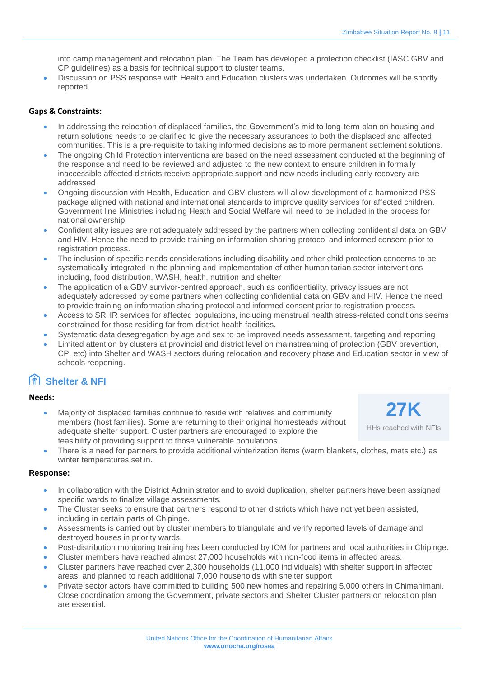into camp management and relocation plan. The Team has developed a protection checklist (IASC GBV and CP guidelines) as a basis for technical support to cluster teams.

• Discussion on PSS response with Health and Education clusters was undertaken. Outcomes will be shortly reported.

#### **Gaps & Constraints:**

- In addressing the relocation of displaced families, the Government's mid to long-term plan on housing and return solutions needs to be clarified to give the necessary assurances to both the displaced and affected communities. This is a pre-requisite to taking informed decisions as to more permanent settlement solutions.
- The ongoing Child Protection interventions are based on the need assessment conducted at the beginning of the response and need to be reviewed and adjusted to the new context to ensure children in formally inaccessible affected districts receive appropriate support and new needs including early recovery are addressed
- Ongoing discussion with Health, Education and GBV clusters will allow development of a harmonized PSS package aligned with national and international standards to improve quality services for affected children. Government line Ministries including Heath and Social Welfare will need to be included in the process for national ownership.
- Confidentiality issues are not adequately addressed by the partners when collecting confidential data on GBV and HIV. Hence the need to provide training on information sharing protocol and informed consent prior to registration process.
- The inclusion of specific needs considerations including disability and other child protection concerns to be systematically integrated in the planning and implementation of other humanitarian sector interventions including, food distribution, WASH, health, nutrition and shelter
- The application of a GBV survivor-centred approach, such as confidentiality, privacy issues are not adequately addressed by some partners when collecting confidential data on GBV and HIV. Hence the need to provide training on information sharing protocol and informed consent prior to registration process.
- Access to SRHR services for affected populations, including menstrual health stress-related conditions seems constrained for those residing far from district health facilities.
- Systematic data desegregation by age and sex to be improved needs assessment, targeting and reporting
- Limited attention by clusters at provincial and district level on mainstreaming of protection (GBV prevention, CP, etc) into Shelter and WASH sectors during relocation and recovery phase and Education sector in view of schools reopening.

## **Shelter & NFI**

#### **Needs:**

- Majority of displaced families continue to reside with relatives and community members (host families). Some are returning to their original homesteads without adequate shelter support. Cluster partners are encouraged to explore the feasibility of providing support to those vulnerable populations.
- **27K**

HHs reached with NFIs

• There is a need for partners to provide additional winterization items (warm blankets, clothes, mats etc.) as winter temperatures set in.

#### **Response:**

- In collaboration with the District Administrator and to avoid duplication, shelter partners have been assigned specific wards to finalize village assessments.
- The Cluster seeks to ensure that partners respond to other districts which have not yet been assisted, including in certain parts of Chipinge.
- Assessments is carried out by cluster members to triangulate and verify reported levels of damage and destroyed houses in priority wards.
- Post-distribution monitoring training has been conducted by IOM for partners and local authorities in Chipinge.
- Cluster members have reached almost 27,000 households with non-food items in affected areas.
- Cluster partners have reached over 2,300 households (11,000 individuals) with shelter support in affected areas, and planned to reach additional 7,000 households with shelter support
- Private sector actors have committed to building 500 new homes and repairing 5,000 others in Chimanimani. Close coordination among the Government, private sectors and Shelter Cluster partners on relocation plan are essential.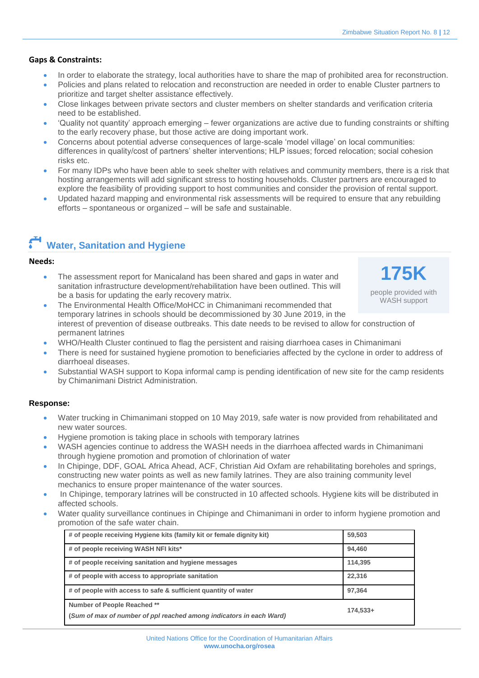- In order to elaborate the strategy, local authorities have to share the map of prohibited area for reconstruction.
- Policies and plans related to relocation and reconstruction are needed in order to enable Cluster partners to prioritize and target shelter assistance effectively.
- Close linkages between private sectors and cluster members on shelter standards and verification criteria need to be established.
- 'Quality not quantity' approach emerging fewer organizations are active due to funding constraints or shifting to the early recovery phase, but those active are doing important work.
- Concerns about potential adverse consequences of large-scale 'model village' on local communities: differences in quality/cost of partners' shelter interventions; HLP issues; forced relocation; social cohesion risks etc.
- For many IDPs who have been able to seek shelter with relatives and community members, there is a risk that hosting arrangements will add significant stress to hosting households. Cluster partners are encouraged to explore the feasibility of providing support to host communities and consider the provision of rental support.
- Updated hazard mapping and environmental risk assessments will be required to ensure that any rebuilding efforts – spontaneous or organized – will be safe and sustainable.

# **Water, Sanitation and Hygiene**

#### **Needs:**

The assessment report for Manicaland has been shared and gaps in water and sanitation infrastructure development/rehabilitation have been outlined. This will be a basis for updating the early recovery matrix.

**175K** people provided with

WASH support

- The Environmental Health Office/MoHCC in Chimanimani recommended that temporary latrines in schools should be decommissioned by 30 June 2019, in the interest of prevention of disease outbreaks. This date needs to be revised to allow for construction of permanent latrines
- WHO/Health Cluster continued to flag the persistent and raising diarrhoea cases in Chimanimani
- There is need for sustained hygiene promotion to beneficiaries affected by the cyclone in order to address of diarrhoeal diseases.
- Substantial WASH support to Kopa informal camp is pending identification of new site for the camp residents by Chimanimani District Administration.

#### **Response:**

- Water trucking in Chimanimani stopped on 10 May 2019, safe water is now provided from rehabilitated and new water sources.
- Hygiene promotion is taking place in schools with temporary latrines
- WASH agencies continue to address the WASH needs in the diarrhoea affected wards in Chimanimani through hygiene promotion and promotion of chlorination of water
- In Chipinge, DDF, GOAL Africa Ahead, ACF, Christian Aid Oxfam are rehabilitating boreholes and springs, constructing new water points as well as new family latrines. They are also training community level mechanics to ensure proper maintenance of the water sources.
- In Chipinge, temporary latrines will be constructed in 10 affected schools. Hygiene kits will be distributed in affected schools.
- Water quality surveillance continues in Chipinge and Chimanimani in order to inform hygiene promotion and promotion of the safe water chain.

| # of people receiving Hygiene kits (family kit or female dignity kit) | 59,503     |
|-----------------------------------------------------------------------|------------|
| # of people receiving WASH NFI kits*                                  | 94,460     |
| # of people receiving sanitation and hygiene messages                 | 114,395    |
| # of people with access to appropriate sanitation                     | 22,316     |
| # of people with access to safe & sufficient quantity of water        | 97,364     |
| Number of People Reached **                                           |            |
| (Sum of max of number of ppl reached among indicators in each Ward)   | $174.533+$ |